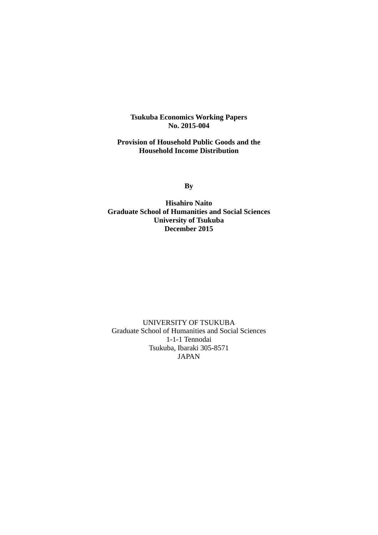**Tsukuba Economics Working Papers No. 2015-004** 

**Provision of Household Public Goods and the Household Income Distribution** 

**By** 

**Hisahiro Naito Graduate School of Humanities and Social Sciences University of Tsukuba December 2015** 

UNIVERSITY OF TSUKUBA Graduate School of Humanities and Social Sciences 1-1-1 Tennodai Tsukuba, Ibaraki 305-8571 JAPAN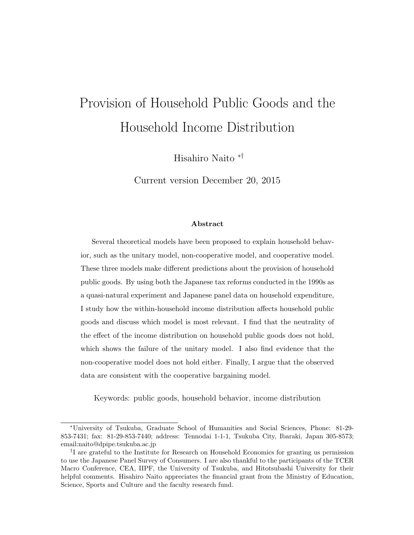# Provision of Household Public Goods and the Household Income Distribution

Hisahiro Naito ∗†

Current version December 20, 2015

### Abstract

Several theoretical models have been proposed to explain household behavior, such as the unitary model, non-cooperative model, and cooperative model. These three models make different predictions about the provision of household public goods. By using both the Japanese tax reforms conducted in the 1990s as a quasi-natural experiment and Japanese panel data on household expenditure, I study how the within-household income distribution affects household public goods and discuss which model is most relevant. I find that the neutrality of the effect of the income distribution on household public goods does not hold, which shows the failure of the unitary model. I also find evidence that the non-cooperative model does not hold either. Finally, I argue that the observed data are consistent with the cooperative bargaining model.

Keywords: public goods, household behavior, income distribution

<sup>∗</sup>University of Tsukuba, Graduate School of Humanities and Social Sciences, Phone: 81-29- 853-7431; fax: 81-29-853-7440; address: Tennodai 1-1-1, Tsukuba City, Ibaraki, Japan 305-8573; email:naito@dpipe.tsukuba.ac.jp

<sup>†</sup> I are grateful to the Institute for Research on Household Economics for granting us permission to use the Japanese Panel Survey of Consumers. I are also thankful to the participants of the TCER Macro Conference, CEA, IIPF, the University of Tsukuba, and Hitotsubashi University for their helpful comments. Hisahiro Naito appreciates the financial grant from the Ministry of Education, Science, Sports and Culture and the faculty research fund.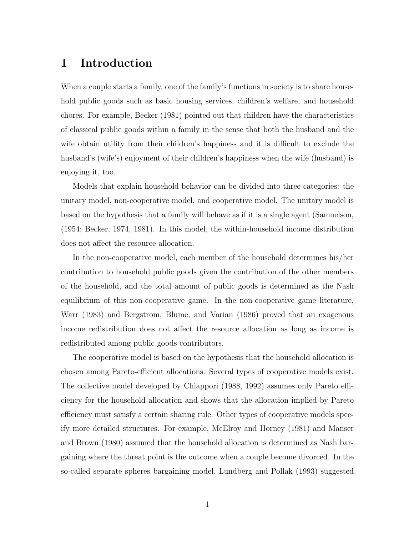## 1 Introduction

When a couple starts a family, one of the family's functions in society is to share household public goods such as basic housing services, children's welfare, and household chores. For example, Becker (1981) pointed out that children have the characteristics of classical public goods within a family in the sense that both the husband and the wife obtain utility from their children's happiness and it is difficult to exclude the husband's (wife's) enjoyment of their children's happiness when the wife (husband) is enjoying it, too.

Models that explain household behavior can be divided into three categories: the unitary model, non-cooperative model, and cooperative model. The unitary model is based on the hypothesis that a family will behave as if it is a single agent (Samuelson, (1954; Becker, 1974, 1981). In this model, the within-household income distribution does not affect the resource allocation.

In the non-cooperative model, each member of the household determines his/her contribution to household public goods given the contribution of the other members of the household, and the total amount of public goods is determined as the Nash equilibrium of this non-cooperative game. In the non-cooperative game literature, Warr (1983) and Bergstrom, Blume, and Varian (1986) proved that an exogenous income redistribution does not affect the resource allocation as long as income is redistributed among public goods contributors.

The cooperative model is based on the hypothesis that the household allocation is chosen among Pareto-efficient allocations. Several types of cooperative models exist. The collective model developed by Chiappori (1988, 1992) assumes only Pareto efficiency for the household allocation and shows that the allocation implied by Pareto efficiency must satisfy a certain sharing rule. Other types of cooperative models specify more detailed structures. For example, McElroy and Horney (1981) and Manser and Brown (1980) assumed that the household allocation is determined as Nash bargaining where the threat point is the outcome when a couple become divorced. In the so-called separate spheres bargaining model, Lundberg and Pollak (1993) suggested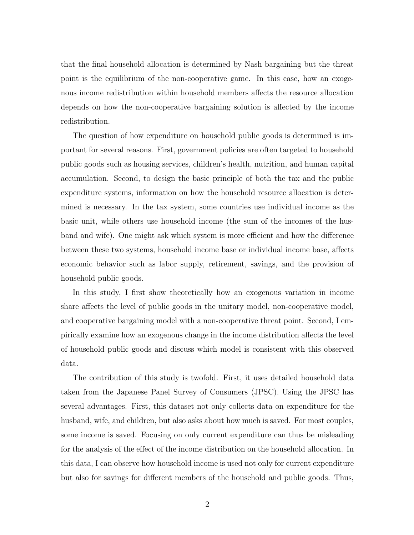that the final household allocation is determined by Nash bargaining but the threat point is the equilibrium of the non-cooperative game. In this case, how an exogenous income redistribution within household members affects the resource allocation depends on how the non-cooperative bargaining solution is affected by the income redistribution.

The question of how expenditure on household public goods is determined is important for several reasons. First, government policies are often targeted to household public goods such as housing services, children's health, nutrition, and human capital accumulation. Second, to design the basic principle of both the tax and the public expenditure systems, information on how the household resource allocation is determined is necessary. In the tax system, some countries use individual income as the basic unit, while others use household income (the sum of the incomes of the husband and wife). One might ask which system is more efficient and how the difference between these two systems, household income base or individual income base, affects economic behavior such as labor supply, retirement, savings, and the provision of household public goods.

In this study, I first show theoretically how an exogenous variation in income share affects the level of public goods in the unitary model, non-cooperative model, and cooperative bargaining model with a non-cooperative threat point. Second, I empirically examine how an exogenous change in the income distribution affects the level of household public goods and discuss which model is consistent with this observed data.

The contribution of this study is twofold. First, it uses detailed household data taken from the Japanese Panel Survey of Consumers (JPSC). Using the JPSC has several advantages. First, this dataset not only collects data on expenditure for the husband, wife, and children, but also asks about how much is saved. For most couples, some income is saved. Focusing on only current expenditure can thus be misleading for the analysis of the effect of the income distribution on the household allocation. In this data, I can observe how household income is used not only for current expenditure but also for savings for different members of the household and public goods. Thus,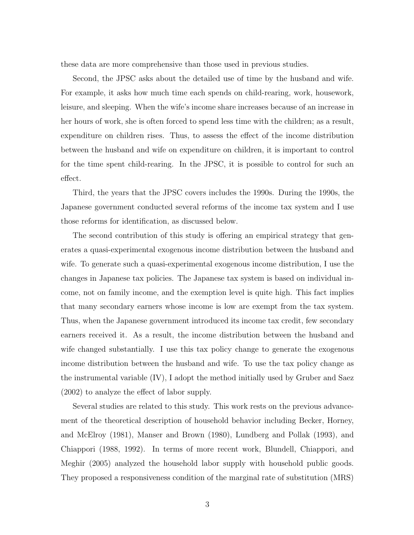these data are more comprehensive than those used in previous studies.

Second, the JPSC asks about the detailed use of time by the husband and wife. For example, it asks how much time each spends on child-rearing, work, housework, leisure, and sleeping. When the wife's income share increases because of an increase in her hours of work, she is often forced to spend less time with the children; as a result, expenditure on children rises. Thus, to assess the effect of the income distribution between the husband and wife on expenditure on children, it is important to control for the time spent child-rearing. In the JPSC, it is possible to control for such an effect.

Third, the years that the JPSC covers includes the 1990s. During the 1990s, the Japanese government conducted several reforms of the income tax system and I use those reforms for identification, as discussed below.

The second contribution of this study is offering an empirical strategy that generates a quasi-experimental exogenous income distribution between the husband and wife. To generate such a quasi-experimental exogenous income distribution, I use the changes in Japanese tax policies. The Japanese tax system is based on individual income, not on family income, and the exemption level is quite high. This fact implies that many secondary earners whose income is low are exempt from the tax system. Thus, when the Japanese government introduced its income tax credit, few secondary earners received it. As a result, the income distribution between the husband and wife changed substantially. I use this tax policy change to generate the exogenous income distribution between the husband and wife. To use the tax policy change as the instrumental variable (IV), I adopt the method initially used by Gruber and Saez (2002) to analyze the effect of labor supply.

Several studies are related to this study. This work rests on the previous advancement of the theoretical description of household behavior including Becker, Horney, and McElroy (1981), Manser and Brown (1980), Lundberg and Pollak (1993), and Chiappori (1988, 1992). In terms of more recent work, Blundell, Chiappori, and Meghir (2005) analyzed the household labor supply with household public goods. They proposed a responsiveness condition of the marginal rate of substitution (MRS)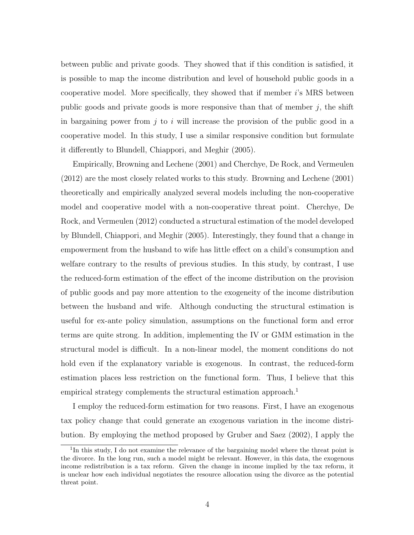between public and private goods. They showed that if this condition is satisfied, it is possible to map the income distribution and level of household public goods in a cooperative model. More specifically, they showed that if member  $i$ 's MRS between public goods and private goods is more responsive than that of member  $j$ , the shift in bargaining power from  $j$  to i will increase the provision of the public good in a cooperative model. In this study, I use a similar responsive condition but formulate it differently to Blundell, Chiappori, and Meghir (2005).

Empirically, Browning and Lechene (2001) and Cherchye, De Rock, and Vermeulen (2012) are the most closely related works to this study. Browning and Lechene (2001) theoretically and empirically analyzed several models including the non-cooperative model and cooperative model with a non-cooperative threat point. Cherchye, De Rock, and Vermeulen (2012) conducted a structural estimation of the model developed by Blundell, Chiappori, and Meghir (2005). Interestingly, they found that a change in empowerment from the husband to wife has little effect on a child's consumption and welfare contrary to the results of previous studies. In this study, by contrast, I use the reduced-form estimation of the effect of the income distribution on the provision of public goods and pay more attention to the exogeneity of the income distribution between the husband and wife. Although conducting the structural estimation is useful for ex-ante policy simulation, assumptions on the functional form and error terms are quite strong. In addition, implementing the IV or GMM estimation in the structural model is difficult. In a non-linear model, the moment conditions do not hold even if the explanatory variable is exogenous. In contrast, the reduced-form estimation places less restriction on the functional form. Thus, I believe that this empirical strategy complements the structural estimation approach.<sup>1</sup>

I employ the reduced-form estimation for two reasons. First, I have an exogenous tax policy change that could generate an exogenous variation in the income distribution. By employing the method proposed by Gruber and Saez (2002), I apply the

<sup>&</sup>lt;sup>1</sup>In this study, I do not examine the relevance of the bargaining model where the threat point is the divorce. In the long run, such a model might be relevant. However, in this data, the exogenous income redistribution is a tax reform. Given the change in income implied by the tax reform, it is unclear how each individual negotiates the resource allocation using the divorce as the potential threat point.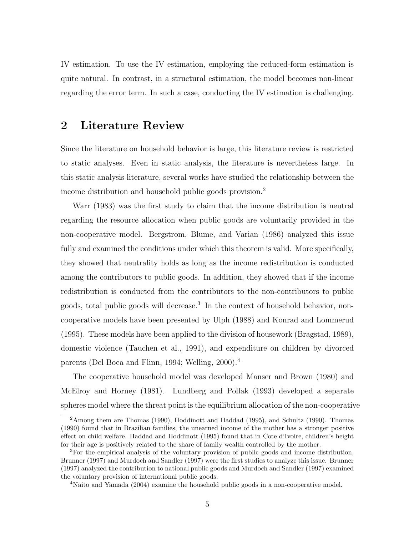IV estimation. To use the IV estimation, employing the reduced-form estimation is quite natural. In contrast, in a structural estimation, the model becomes non-linear regarding the error term. In such a case, conducting the IV estimation is challenging.

## 2 Literature Review

Since the literature on household behavior is large, this literature review is restricted to static analyses. Even in static analysis, the literature is nevertheless large. In this static analysis literature, several works have studied the relationship between the income distribution and household public goods provision.<sup>2</sup>

Warr (1983) was the first study to claim that the income distribution is neutral regarding the resource allocation when public goods are voluntarily provided in the non-cooperative model. Bergstrom, Blume, and Varian (1986) analyzed this issue fully and examined the conditions under which this theorem is valid. More specifically, they showed that neutrality holds as long as the income redistribution is conducted among the contributors to public goods. In addition, they showed that if the income redistribution is conducted from the contributors to the non-contributors to public goods, total public goods will decrease.<sup>3</sup> In the context of household behavior, noncooperative models have been presented by Ulph (1988) and Konrad and Lommerud (1995). These models have been applied to the division of housework (Bragstad, 1989), domestic violence (Tauchen et al., 1991), and expenditure on children by divorced parents (Del Boca and Flinn, 1994; Welling, 2000).<sup>4</sup>

The cooperative household model was developed Manser and Brown (1980) and McElroy and Horney (1981). Lundberg and Pollak (1993) developed a separate spheres model where the threat point is the equilibrium allocation of the non-cooperative

<sup>2</sup>Among them are Thomas (1990), Hoddinott and Haddad (1995), and Schultz (1990). Thomas (1990) found that in Brazilian families, the unearned income of the mother has a stronger positive effect on child welfare. Haddad and Hoddinott (1995) found that in Cote d'Ivoire, children's height for their age is positively related to the share of family wealth controlled by the mother.

<sup>&</sup>lt;sup>3</sup>For the empirical analysis of the voluntary provision of public goods and income distribution, Brunner (1997) and Murdoch and Sandler (1997) were the first studies to analyze this issue. Brunner (1997) analyzed the contribution to national public goods and Murdoch and Sandler (1997) examined the voluntary provision of international public goods.

<sup>4</sup>Naito and Yamada (2004) examine the household public goods in a non-cooperative model.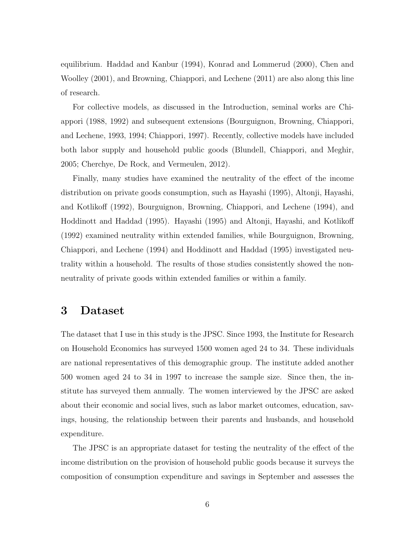equilibrium. Haddad and Kanbur (1994), Konrad and Lommerud (2000), Chen and Woolley (2001), and Browning, Chiappori, and Lechene (2011) are also along this line of research.

For collective models, as discussed in the Introduction, seminal works are Chiappori (1988, 1992) and subsequent extensions (Bourguignon, Browning, Chiappori, and Lechene, 1993, 1994; Chiappori, 1997). Recently, collective models have included both labor supply and household public goods (Blundell, Chiappori, and Meghir, 2005; Cherchye, De Rock, and Vermeulen, 2012).

Finally, many studies have examined the neutrality of the effect of the income distribution on private goods consumption, such as Hayashi (1995), Altonji, Hayashi, and Kotlikoff (1992), Bourguignon, Browning, Chiappori, and Lechene (1994), and Hoddinott and Haddad (1995). Hayashi (1995) and Altonji, Hayashi, and Kotlikoff (1992) examined neutrality within extended families, while Bourguignon, Browning, Chiappori, and Lechene (1994) and Hoddinott and Haddad (1995) investigated neutrality within a household. The results of those studies consistently showed the nonneutrality of private goods within extended families or within a family.

## 3 Dataset

The dataset that I use in this study is the JPSC. Since 1993, the Institute for Research on Household Economics has surveyed 1500 women aged 24 to 34. These individuals are national representatives of this demographic group. The institute added another 500 women aged 24 to 34 in 1997 to increase the sample size. Since then, the institute has surveyed them annually. The women interviewed by the JPSC are asked about their economic and social lives, such as labor market outcomes, education, savings, housing, the relationship between their parents and husbands, and household expenditure.

The JPSC is an appropriate dataset for testing the neutrality of the effect of the income distribution on the provision of household public goods because it surveys the composition of consumption expenditure and savings in September and assesses the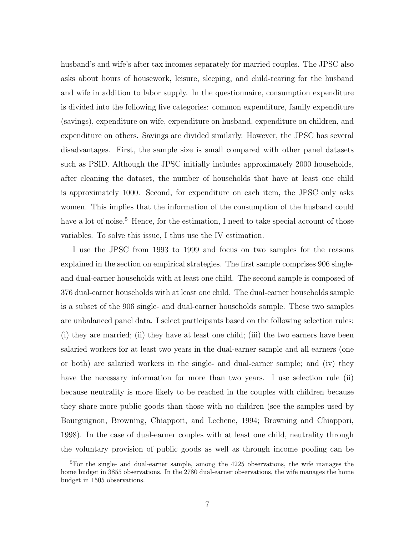husband's and wife's after tax incomes separately for married couples. The JPSC also asks about hours of housework, leisure, sleeping, and child-rearing for the husband and wife in addition to labor supply. In the questionnaire, consumption expenditure is divided into the following five categories: common expenditure, family expenditure (savings), expenditure on wife, expenditure on husband, expenditure on children, and expenditure on others. Savings are divided similarly. However, the JPSC has several disadvantages. First, the sample size is small compared with other panel datasets such as PSID. Although the JPSC initially includes approximately 2000 households, after cleaning the dataset, the number of households that have at least one child is approximately 1000. Second, for expenditure on each item, the JPSC only asks women. This implies that the information of the consumption of the husband could have a lot of noise.<sup>5</sup> Hence, for the estimation, I need to take special account of those variables. To solve this issue, I thus use the IV estimation.

I use the JPSC from 1993 to 1999 and focus on two samples for the reasons explained in the section on empirical strategies. The first sample comprises 906 singleand dual-earner households with at least one child. The second sample is composed of 376 dual-earner households with at least one child. The dual-earner households sample is a subset of the 906 single- and dual-earner households sample. These two samples are unbalanced panel data. I select participants based on the following selection rules: (i) they are married; (ii) they have at least one child; (iii) the two earners have been salaried workers for at least two years in the dual-earner sample and all earners (one or both) are salaried workers in the single- and dual-earner sample; and (iv) they have the necessary information for more than two years. I use selection rule (ii) because neutrality is more likely to be reached in the couples with children because they share more public goods than those with no children (see the samples used by Bourguignon, Browning, Chiappori, and Lechene, 1994; Browning and Chiappori, 1998). In the case of dual-earner couples with at least one child, neutrality through the voluntary provision of public goods as well as through income pooling can be

<sup>5</sup>For the single- and dual-earner sample, among the 4225 observations, the wife manages the home budget in 3855 observations. In the 2780 dual-earner observations, the wife manages the home budget in 1505 observations.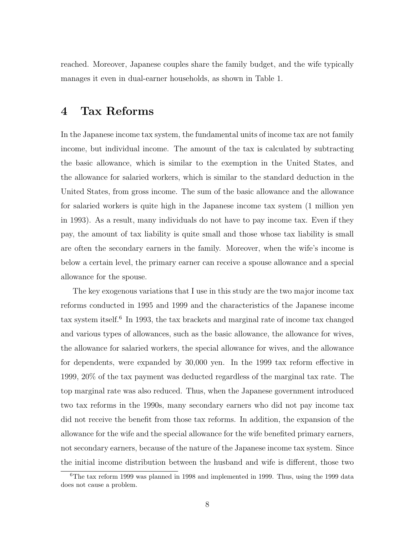reached. Moreover, Japanese couples share the family budget, and the wife typically manages it even in dual-earner households, as shown in Table 1.

## 4 Tax Reforms

In the Japanese income tax system, the fundamental units of income tax are not family income, but individual income. The amount of the tax is calculated by subtracting the basic allowance, which is similar to the exemption in the United States, and the allowance for salaried workers, which is similar to the standard deduction in the United States, from gross income. The sum of the basic allowance and the allowance for salaried workers is quite high in the Japanese income tax system (1 million yen in 1993). As a result, many individuals do not have to pay income tax. Even if they pay, the amount of tax liability is quite small and those whose tax liability is small are often the secondary earners in the family. Moreover, when the wife's income is below a certain level, the primary earner can receive a spouse allowance and a special allowance for the spouse.

The key exogenous variations that I use in this study are the two major income tax reforms conducted in 1995 and 1999 and the characteristics of the Japanese income tax system itself.<sup>6</sup> In 1993, the tax brackets and marginal rate of income tax changed and various types of allowances, such as the basic allowance, the allowance for wives, the allowance for salaried workers, the special allowance for wives, and the allowance for dependents, were expanded by 30,000 yen. In the 1999 tax reform effective in 1999, 20% of the tax payment was deducted regardless of the marginal tax rate. The top marginal rate was also reduced. Thus, when the Japanese government introduced two tax reforms in the 1990s, many secondary earners who did not pay income tax did not receive the benefit from those tax reforms. In addition, the expansion of the allowance for the wife and the special allowance for the wife benefited primary earners, not secondary earners, because of the nature of the Japanese income tax system. Since the initial income distribution between the husband and wife is different, those two

 $6$ The tax reform 1999 was planned in 1998 and implemented in 1999. Thus, using the 1999 data does not cause a problem.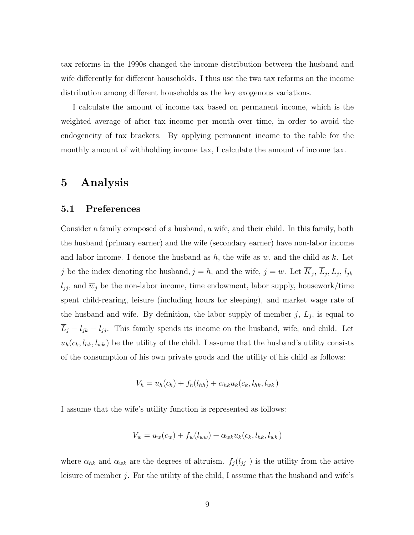tax reforms in the 1990s changed the income distribution between the husband and wife differently for different households. I thus use the two tax reforms on the income distribution among different households as the key exogenous variations.

I calculate the amount of income tax based on permanent income, which is the weighted average of after tax income per month over time, in order to avoid the endogeneity of tax brackets. By applying permanent income to the table for the monthly amount of withholding income tax, I calculate the amount of income tax.

## 5 Analysis

### 5.1 Preferences

Consider a family composed of a husband, a wife, and their child. In this family, both the husband (primary earner) and the wife (secondary earner) have non-labor income and labor income. I denote the husband as  $h$ , the wife as  $w$ , and the child as  $k$ . Let j be the index denoting the husband,  $j = h$ , and the wife,  $j = w$ . Let  $K_j$ ,  $L_j$ ,  $L_j$ ,  $l_{jk}$  $l_{jj}$ , and  $\overline{w}_j$  be the non-labor income, time endowment, labor supply, housework/time spent child-rearing, leisure (including hours for sleeping), and market wage rate of the husband and wife. By definition, the labor supply of member  $j, L_j$ , is equal to  $L_j - l_{jk} - l_{jj}$ . This family spends its income on the husband, wife, and child. Let  $u_h(c_k, l_{hk}, l_{wk})$  be the utility of the child. I assume that the husband's utility consists of the consumption of his own private goods and the utility of his child as follows:

$$
V_h = u_h(c_h) + f_h(l_{hh}) + \alpha_{hk} u_k(c_k, l_{hk}, l_{wk})
$$

I assume that the wife's utility function is represented as follows:

$$
V_w = u_w(c_w) + f_w(l_{ww}) + \alpha_{wk} u_k(c_k, l_{hk}, l_{wk})
$$

where  $\alpha_{hk}$  and  $\alpha_{wk}$  are the degrees of altruism.  $f_j(l_{jj})$  is the utility from the active leisure of member j. For the utility of the child, I assume that the husband and wife's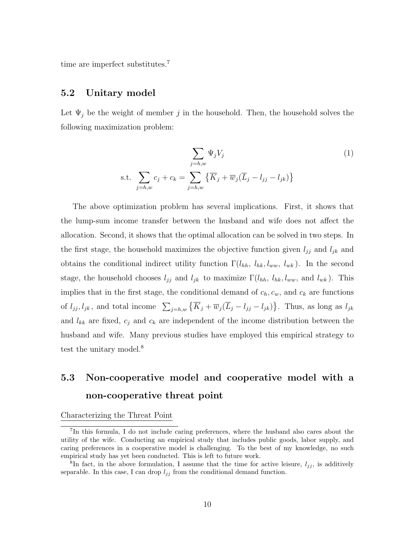time are imperfect substitutes.<sup>7</sup>

### 5.2 Unitary model

Let  $\Psi_j$  be the weight of member j in the household. Then, the household solves the following maximization problem:

$$
\sum_{j=h,w} \Psi_j V_j
$$
\ns.t. 
$$
\sum_{j=h,w} c_j + c_k = \sum_{j=h,w} \left\{ \overline{K}_j + \overline{w}_j (\overline{L}_j - l_{jj} - l_{jk}) \right\}
$$
\n
$$
(1)
$$

The above optimization problem has several implications. First, it shows that the lump-sum income transfer between the husband and wife does not affect the allocation. Second, it shows that the optimal allocation can be solved in two steps. In the first stage, the household maximizes the objective function given  $l_{jj}$  and  $l_{jk}$  and obtains the conditional indirect utility function  $\Gamma(l_{hh}, l_{hk}, l_{ww}, l_{wk})$ . In the second stage, the household chooses  $l_{jj}$  and  $l_{jk}$  to maximize  $\Gamma(l_{hh}, l_{hk}, l_{ww}, \text{ and } l_{wk})$ . This implies that in the first stage, the conditional demand of  $c_h, c_w$ , and  $c_k$  are functions of  $l_{jj}, l_{jk}$ , and total income  $\sum_{j=h,w} {\overline{K}_j + \overline{w}_j(\overline{L}_j - l_{jj} - l_{jk})}$ . Thus, as long as  $l_{jk}$ and  $l_{kk}$  are fixed,  $c_j$  and  $c_k$  are independent of the income distribution between the husband and wife. Many previous studies have employed this empirical strategy to test the unitary model.<sup>8</sup>

## 5.3 Non-cooperative model and cooperative model with a non-cooperative threat point

Characterizing the Threat Point

<sup>7</sup> In this formula, I do not include caring preferences, where the husband also cares about the utility of the wife. Conducting an empirical study that includes public goods, labor supply, and caring preferences in a cooperative model is challenging. To the best of my knowledge, no such empirical study has yet been conducted. This is left to future work.

<sup>&</sup>lt;sup>8</sup>In fact, in the above formulation, I assume that the time for active leisure,  $l_{jj}$ , is additively separable. In this case, I can drop  $l_{ij}$  from the conditional demand function.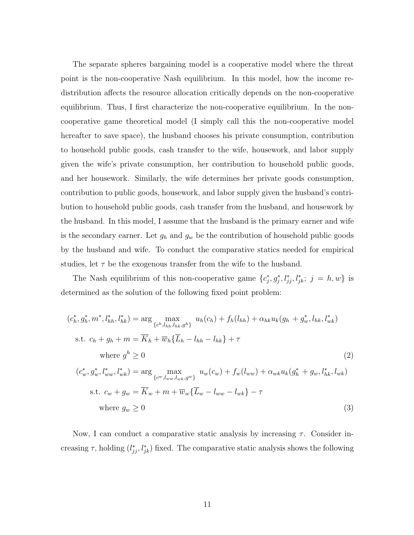The separate spheres bargaining model is a cooperative model where the threat point is the non-cooperative Nash equilibrium. In this model, how the income redistribution affects the resource allocation critically depends on the non-cooperative equilibrium. Thus, I first characterize the non-cooperative equilibrium. In the noncooperative game theoretical model (I simply call this the non-cooperative model hereafter to save space), the husband chooses his private consumption, contribution to household public goods, cash transfer to the wife, housework, and labor supply given the wife's private consumption, her contribution to household public goods, and her housework. Similarly, the wife determines her private goods consumption, contribution to public goods, housework, and labor supply given the husband's contribution to household public goods, cash transfer from the husband, and housework by the husband. In this model, I assume that the husband is the primary earner and wife is the secondary earner. Let  $g_h$  and  $g_w$  be the contribution of household public goods by the husband and wife. To conduct the comparative statics needed for empirical studies, let  $\tau$  be the exogenous transfer from the wife to the husband.

The Nash equilibrium of this non-cooperative game  $\{c_j^*, g_j^*, l_{jj}^*, l_{jk}^*, j = h, w\}$  is determined as the solution of the following fixed point problem:

$$
(c_h^*, g_h^*, m^*, l_{hh}^*, l_{hk}^*) = \arg \max_{\{c^h, l_{hh}, l_{hk}, g^h\}} u_h(c_h) + f_h(l_{hh}) + \alpha_{hk} u_k(g_h + g_w^*, l_{hk}, l_{wk}^*)
$$
  
s.t.  $c_h + g_h + m = \overline{K}_h + \overline{w}_h \{\overline{L}_h - l_{hh} - l_{hk}\} + \tau$   
where  $g^h \ge 0$   

$$
(c_w^*, g_w^*, l_{ww}^*, l_{wk}^*) = \arg \max_{\{c^w, l_{ww}, l_{wk}, g^w\}} u_w(c_w) + f_w(l_{ww}) + \alpha_{wk} u_k(g_h^* + g_w, l_{hk}^*, l_{wk})
$$
  
s.t.  $c_w + g_w = \overline{K}_w + m + \overline{w}_w \{\overline{L}_w - l_{ww} - l_{wk}\} - \tau$   
where  $g_w \ge 0$  (3)

Now, I can conduct a comparative static analysis by increasing  $\tau$ . Consider increasing  $\tau$ , holding  $(l_{jj}^*, l_{jk}^*)$  fixed. The comparative static analysis shows the following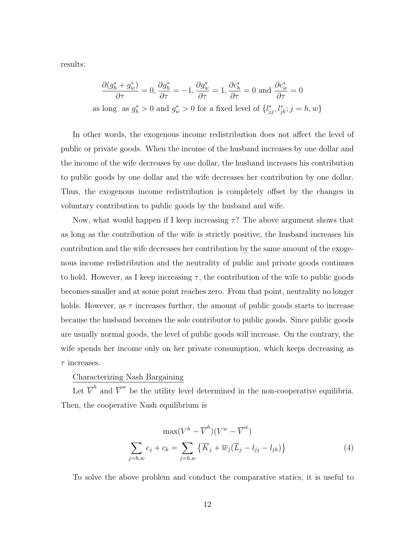results:

$$
\frac{\partial (g_h^* + g_w^*)}{\partial \tau} = 0, \frac{\partial g_h^*}{\partial \tau} = -1, \frac{\partial g_w^*}{\partial \tau} = 1, \frac{\partial c_h^*}{\partial \tau} = 0 \text{ and } \frac{\partial c_w^*}{\partial \tau} = 0
$$
  
as long as  $g_h^* > 0$  and  $g_w^* > 0$  for a fixed level of  $\{l_{jj}^*, l_{jk}^*, j = h, w\}$ 

In other words, the exogenous income redistribution does not affect the level of public or private goods. When the income of the husband increases by one dollar and the income of the wife decreases by one dollar, the husband increases his contribution to public goods by one dollar and the wife decreases her contribution by one dollar. Thus, the exogenous income redistribution is completely offset by the changes in voluntary contribution to public goods by the husband and wife.

Now, what would happen if I keep increasing  $\tau$ ? The above argument shows that as long as the contribution of the wife is strictly positive, the husband increases his contribution and the wife decreases her contribution by the same amount of the exogenous income redistribution and the neutrality of public and private goods continues to hold. However, as I keep increasing  $\tau$ , the contribution of the wife to public goods becomes smaller and at some point reaches zero. From that point, neutrality no longer holds. However, as  $\tau$  increases further, the amount of public goods starts to increase because the husband becomes the sole contributor to public goods. Since public goods are usually normal goods, the level of public goods will increase. On the contrary, the wife spends her income only on her private consumption, which keeps decreasing as  $\tau$  increases.

### Characterizing Nash Bargaining

Let  $\overline{V}^h$  and  $\overline{V}^w$  be the utility level determined in the non-cooperative equilibria. Then, the cooperative Nash equilibrium is

$$
\max(V^h - \overline{V}^h)(V^w - \overline{V}^w)
$$

$$
\sum_{j=h,w} c_j + c_k = \sum_{j=h,w} \left\{ \overline{K}_j + \overline{w}_j (\overline{L}_j - l_{jj} - l_{jk}) \right\}
$$
(4)

To solve the above problem and conduct the comparative statics, it is useful to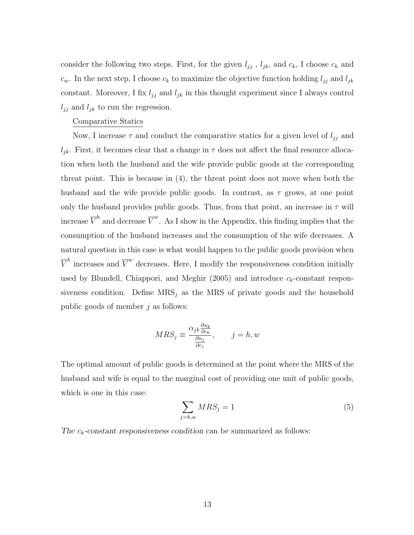consider the following two steps. First, for the given  $l_{jj}$ ,  $l_{jk}$ , and  $c_k$ , I choose  $c_h$  and  $c_w$ . In the next step, I choose  $c_k$  to maximize the objective function holding  $l_{jj}$  and  $l_{jk}$ constant. Moreover, I fix  $l_{jj}$  and  $l_{jk}$  in this thought experiment since I always control  $l_{ji}$  and  $l_{jk}$  to run the regression.

### Comparative Statics

Now, I increase  $\tau$  and conduct the comparative statics for a given level of  $l_{jj}$  and  $l_{jk}$ . First, it becomes clear that a change in  $\tau$  does not affect the final resource allocation when both the husband and the wife provide public goods at the corresponding threat point. This is because in (4), the threat point does not move when both the husband and the wife provide public goods. In contrast, as  $\tau$  grows, at one point only the husband provides public goods. Thus, from that point, an increase in  $\tau$  will increase  $\overline{V}^h$  and decrease  $\overline{V}^w$ . As I show in the Appendix, this finding implies that the consumption of the husband increases and the consumption of the wife decreases. A natural question in this case is what would happen to the public goods provision when  $\overline{V}^h$  increases and  $\overline{V}^w$  decreases. Here, I modify the responsiveness condition initially used by Blundell, Chiappori, and Meghir  $(2005)$  and introduce  $c_k$ -constant responsiveness condition. Define  $MRS_j$  as the MRS of private goods and the household public goods of member  $i$  as follows:

$$
MRS_j \equiv \frac{\alpha_{jk} \frac{\partial u_k}{\partial c_k}}{\frac{\partial u_j}{\partial c_j}}, \qquad j = h, w
$$

The optimal amount of public goods is determined at the point where the MRS of the husband and wife is equal to the marginal cost of providing one unit of public goods, which is one in this case:

$$
\sum_{j=h,w} MRS_j = 1\tag{5}
$$

The  $c_k$ -constant responsiveness condition can be summarized as follows: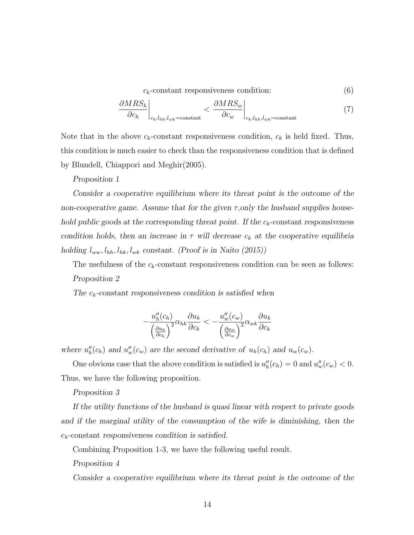$c_k$ -constant responsiveness condition: (6)

$$
\left. \frac{\partial MRS_h}{\partial c_h} \right|_{c_k, l_{hk}, l_{wk} = \text{constant}} < \left. \frac{\partial MRS_w}{\partial c_w} \right|_{c_k, l_{hk}, l_{wk} = \text{constant}} \tag{7}
$$

Note that in the above  $c_k$ -constant responsiveness condition,  $c_k$  is held fixed. Thus, this condition is much easier to check than the responsiveness condition that is defined by Blundell, Chiappori and Meghir(2005).

Proposition 1

Consider a cooperative equilibrium where its threat point is the outcome of the non-cooperative game. Assume that for the given  $\tau$ , only the husband supplies household public goods at the corresponding threat point. If the  $c_k$ -constant responsiveness condition holds, then an increase in  $\tau$  will decrease  $c_k$  at the cooperative equilibria holding  $l_{ww}, l_{hh}, l_{hk}, l_{wk}$  constant. (Proof is in Naito (2015))

The usefulness of the  $c_k$ -constant responsiveness condition can be seen as follows: Proposition 2

The  $c_k$ -constant responsiveness condition is satisfied when

$$
-\frac{u''_h(c_h)}{\left(\frac{\partial u_h}{\partial c_h}\right)^2} \alpha_{hk} \frac{\partial u_k}{\partial c_k} < -\frac{u''_w(c_w)}{\left(\frac{\partial u_w}{\partial c_w}\right)^2} \alpha_{wk} \frac{\partial u_k}{\partial c_k}
$$

where  $u''_h(c_h)$  and  $u''_w(c_w)$  are the second derivative of  $u_h(c_h)$  and  $u_w(c_w)$ .

One obvious case that the above condition is satisfied is  $u''_h(c_h) = 0$  and  $u''_w(c_w) < 0$ . Thus, we have the following proposition.

Proposition 3

If the utility functions of the husband is quasi linear with respect to private goods and if the marginal utility of the consumption of the wife is diminishing, then the  $c_k$ -constant responsiveness condition is satisfied.

Combining Proposition 1-3, we have the following useful result.

Proposition 4

Consider a cooperative equilibrium where its threat point is the outcome of the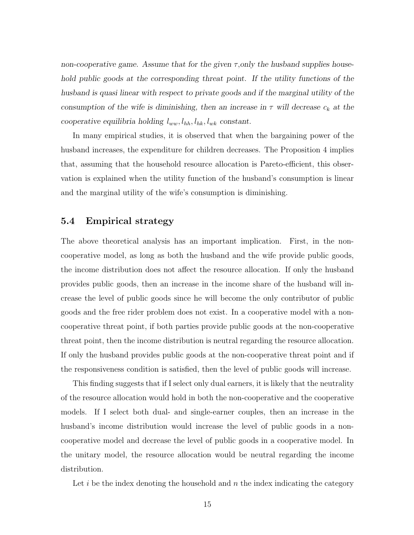non-cooperative game. Assume that for the given  $\tau$ , only the husband supplies household public goods at the corresponding threat point. If the utility functions of the husband is quasi linear with respect to private goods and if the marginal utility of the consumption of the wife is diminishing, then an increase in  $\tau$  will decrease  $c_k$  at the cooperative equilibria holding  $l_{ww}, l_{hh}, l_{hk}, l_{wk}$  constant.

In many empirical studies, it is observed that when the bargaining power of the husband increases, the expenditure for children decreases. The Proposition 4 implies that, assuming that the household resource allocation is Pareto-efficient, this observation is explained when the utility function of the husband's consumption is linear and the marginal utility of the wife's consumption is diminishing.

### 5.4 Empirical strategy

The above theoretical analysis has an important implication. First, in the noncooperative model, as long as both the husband and the wife provide public goods, the income distribution does not affect the resource allocation. If only the husband provides public goods, then an increase in the income share of the husband will increase the level of public goods since he will become the only contributor of public goods and the free rider problem does not exist. In a cooperative model with a noncooperative threat point, if both parties provide public goods at the non-cooperative threat point, then the income distribution is neutral regarding the resource allocation. If only the husband provides public goods at the non-cooperative threat point and if the responsiveness condition is satisfied, then the level of public goods will increase.

This finding suggests that if I select only dual earners, it is likely that the neutrality of the resource allocation would hold in both the non-cooperative and the cooperative models. If I select both dual- and single-earner couples, then an increase in the husband's income distribution would increase the level of public goods in a noncooperative model and decrease the level of public goods in a cooperative model. In the unitary model, the resource allocation would be neutral regarding the income distribution.

Let  $i$  be the index denoting the household and  $n$  the index indicating the category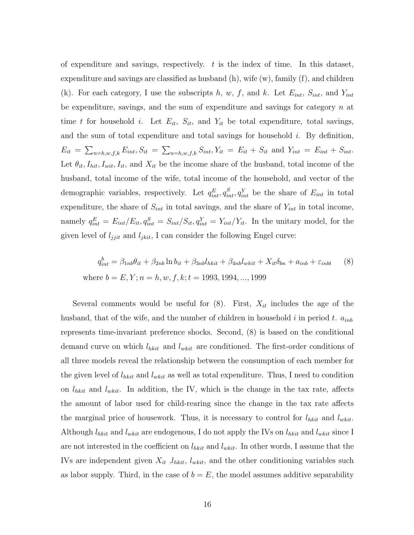of expenditure and savings, respectively.  $t$  is the index of time. In this dataset, expenditure and savings are classified as husband  $(h)$ , wife  $(w)$ , family  $(f)$ , and children (k). For each category, I use the subscripts h, w, f, and k. Let  $E_{int}$ ,  $S_{int}$ , and  $Y_{int}$ be expenditure, savings, and the sum of expenditure and savings for category  $n$  at time t for household i. Let  $E_{it}$ ,  $S_{it}$ , and  $Y_{it}$  be total expenditure, total savings, and the sum of total expenditure and total savings for household i. By definition,  $E_{it} = \sum_{n=h,w,f,k} E_{int}, S_{it} = \sum_{n=h,w,f,k} S_{int}, Y_{it} = E_{it} + S_{it}$  and  $Y_{int} = E_{int} + S_{int}$ . Let  $\theta_{it}, I_{hit}, I_{wit}, I_{it}$ , and  $X_{it}$  be the income share of the husband, total income of the husband, total income of the wife, total income of the household, and vector of the demographic variables, respectively. Let  $q_{int}^{E}$ ,  $q_{int}^{S}$ ,  $q_{int}^{Y}$  be the share of  $E_{int}$  in total expenditure, the share of  $S_{int}$  in total savings, and the share of  $Y_{int}$  in total income, namely  $q_{int}^{E} = E_{int}/E_{it}$ ,  $q_{int}^{S} = S_{int}/S_{it}$ ,  $q_{int}^{Y} = Y_{int}/Y_{it}$ . In the unitary model, for the given level of  $l_{jjit}$  and  $l_{jkit}$ , I can consider the following Engel curve:

$$
q_{int}^{b} = \beta_{1nb}\theta_{it} + \beta_{2nb}\ln b_{it} + \beta_{3nb}l_{nkit} + \beta_{4nb}l_{wkit} + X_{it}\delta_{bn} + a_{inb} + \varepsilon_{inbt}
$$
 (8)  
where  $b = E, Y; n = h, w, f, k; t = 1993, 1994, ..., 1999$ 

Several comments would be useful for  $(8)$ . First,  $X_{it}$  includes the age of the husband, that of the wife, and the number of children in household i in period t.  $a_{inb}$ represents time-invariant preference shocks. Second, (8) is based on the conditional demand curve on which  $l_{nkit}$  and  $l_{wkit}$  are conditioned. The first-order conditions of all three models reveal the relationship between the consumption of each member for the given level of  $l_{hkit}$  and  $l_{wkit}$  as well as total expenditure. Thus, I need to condition on  $l_{hkit}$  and  $l_{wkit}$ . In addition, the IV, which is the change in the tax rate, affects the amount of labor used for child-rearing since the change in the tax rate affects the marginal price of housework. Thus, it is necessary to control for  $l_{hkit}$  and  $l_{wkit}$ . Although  $l_{nkit}$  and  $l_{wkit}$  are endogenous, I do not apply the IVs on  $l_{nkit}$  and  $l_{wkit}$  since I are not interested in the coefficient on  $l_{hkit}$  and  $l_{wkit}$ . In other words, I assume that the IVs are independent given  $X_{it}$ ,  $l_{hkit}$ ,  $l_{wkit}$ , and the other conditioning variables such as labor supply. Third, in the case of  $b = E$ , the model assumes additive separability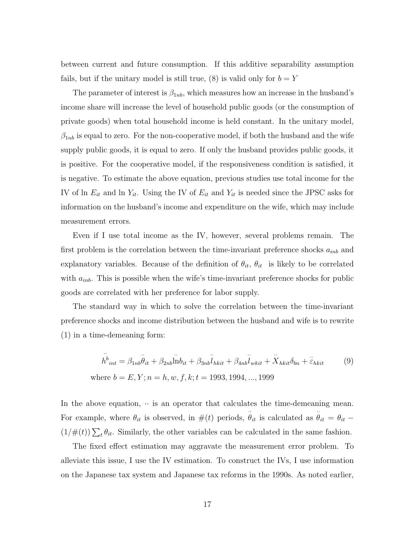between current and future consumption. If this additive separability assumption fails, but if the unitary model is still true, (8) is valid only for  $b = Y$ 

The parameter of interest is  $\beta_{1nb}$ , which measures how an increase in the husband's income share will increase the level of household public goods (or the consumption of private goods) when total household income is held constant. In the unitary model,  $\beta_{1nb}$  is equal to zero. For the non-cooperative model, if both the husband and the wife supply public goods, it is equal to zero. If only the husband provides public goods, it is positive. For the cooperative model, if the responsiveness condition is satisfied, it is negative. To estimate the above equation, previous studies use total income for the IV of ln  $E_{it}$  and ln  $Y_{it}$ . Using the IV of  $E_{it}$  and  $Y_{it}$  is needed since the JPSC asks for information on the husband's income and expenditure on the wife, which may include measurement errors.

Even if I use total income as the IV, however, several problems remain. The first problem is the correlation between the time-invariant preference shocks  $a_{inb}$  and explanatory variables. Because of the definition of  $\theta_{it}$ ,  $\theta_{it}$  is likely to be correlated with  $a_{inb}$ . This is possible when the wife's time-invariant preference shocks for public goods are correlated with her preference for labor supply.

The standard way in which to solve the correlation between the time-invariant preference shocks and income distribution between the husband and wife is to rewrite (1) in a time-demeaning form:

$$
\ddot{h}_{int}^{b} = \beta_{1nb}\ddot{\theta}_{it} + \beta_{2nb}\dot{\ln}\dot{\theta}_{it} + \beta_{3nb}\ddot{\ln}\dot{\theta}_{kit} + \beta_{4nb}\ddot{\ln}\dot{\theta}_{kit} + \ddot{X}_{hkit}\delta_{bn} + \ddot{\varepsilon}_{hkit}
$$
(9)  
where  $b = E, Y; n = h, w, f, k; t = 1993, 1994, ..., 1999$ 

In the above equation,  $\cdot \cdot$  is an operator that calculates the time-demeaning mean. For example, where  $\theta_{it}$  is observed, in  $\#(t)$  periods,  $\ddot{\theta}_{it}$  is calculated as  $\ddot{\theta}_{it} = \theta_{it}$  –  $(1/\#(t))\sum_{t} \theta_{it}$ . Similarly, the other variables can be calculated in the same fashion.

The fixed effect estimation may aggravate the measurement error problem. To alleviate this issue, I use the IV estimation. To construct the IVs, I use information on the Japanese tax system and Japanese tax reforms in the 1990s. As noted earlier,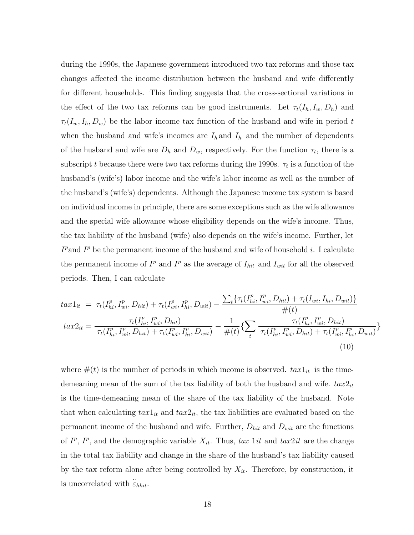during the 1990s, the Japanese government introduced two tax reforms and those tax changes affected the income distribution between the husband and wife differently for different households. This finding suggests that the cross-sectional variations in the effect of the two tax reforms can be good instruments. Let  $\tau_t(I_h, I_w, D_h)$  and  $\tau_t(I_w, I_h, D_w)$  be the labor income tax function of the husband and wife in period t when the husband and wife's incomes are  $I_h$  and  $I_h$  and the number of dependents of the husband and wife are  $D_h$  and  $D_w$ , respectively. For the function  $\tau_t$ , there is a subscript t because there were two tax reforms during the 1990s.  $\tau_t$  is a function of the husband's (wife's) labor income and the wife's labor income as well as the number of the husband's (wife's) dependents. Although the Japanese income tax system is based on individual income in principle, there are some exceptions such as the wife allowance and the special wife allowance whose eligibility depends on the wife's income. Thus, the tax liability of the husband (wife) also depends on the wife's income. Further, let  $I^p$  and  $I^p$  be the permanent income of the husband and wife of household i. I calculate the permanent income of  $I^p$  and  $I^p$  as the average of  $I_{hit}$  and  $I_{wit}$  for all the observed periods. Then, I can calculate

$$
tax1_{it} = \tau_t(I_{hi}^p, I_{wi}^p, D_{hit}) + \tau_t(I_{wi}^p, I_{hi}^p, D_{wit}) - \frac{\sum_t \{\tau_t(I_{hi}^p, I_{wi}^p, D_{hit}) + \tau_t(I_{wi}, I_{hi}, D_{wit})\}}{\#(t)} \neq
$$
  

$$
tax2_{it} = \frac{\tau_t(I_{hi}^p, I_{wi}^p, D_{hit})}{\tau_t(I_{hi}^p, I_{wi}^p, D_{hit}) + \tau_t(I_{wi}^p, I_{hi}^p, D_{wit})} - \frac{1}{\#(t)} \{\sum_t \frac{\tau_t(I_{hi}^p, I_{wi}^p, D_{hit})}{\tau_t(I_{hi}^p, I_{wi}^p, D_{hit}) + \tau_t(I_{wi}^p, I_{hi}^p, D_{wit})}\}
$$
  
(10)

where  $\#(t)$  is the number of periods in which income is observed.  $tax1_{it}$  is the timedemeaning mean of the sum of the tax liability of both the husband and wife.  $tax2<sub>it</sub>$ is the time-demeaning mean of the share of the tax liability of the husband. Note that when calculating  $tax1_{it}$  and  $tax2_{it}$ , the tax liabilities are evaluated based on the permanent income of the husband and wife. Further,  $D_{hit}$  and  $D_{wit}$  are the functions of  $I^p$ ,  $I^p$ , and the demographic variable  $X_{it}$ . Thus, tax 1it and tax2it are the change in the total tax liability and change in the share of the husband's tax liability caused by the tax reform alone after being controlled by  $X_{it}$ . Therefore, by construction, it is uncorrelated with  $\ddot{\varepsilon}_{hkit}$ .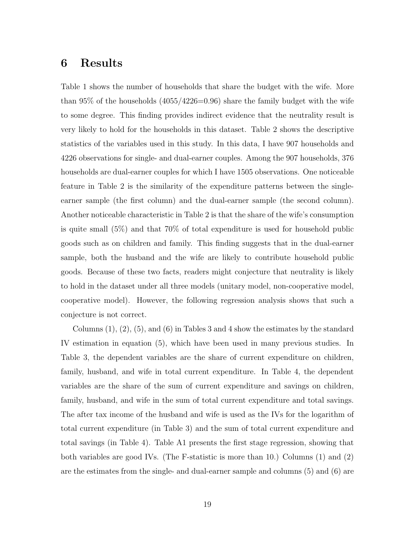### 6 Results

Table 1 shows the number of households that share the budget with the wife. More than  $95\%$  of the households  $(4055/4226=0.96)$  share the family budget with the wife to some degree. This finding provides indirect evidence that the neutrality result is very likely to hold for the households in this dataset. Table 2 shows the descriptive statistics of the variables used in this study. In this data, I have 907 households and 4226 observations for single- and dual-earner couples. Among the 907 households, 376 households are dual-earner couples for which I have 1505 observations. One noticeable feature in Table 2 is the similarity of the expenditure patterns between the singleearner sample (the first column) and the dual-earner sample (the second column). Another noticeable characteristic in Table 2 is that the share of the wife's consumption is quite small (5%) and that 70% of total expenditure is used for household public goods such as on children and family. This finding suggests that in the dual-earner sample, both the husband and the wife are likely to contribute household public goods. Because of these two facts, readers might conjecture that neutrality is likely to hold in the dataset under all three models (unitary model, non-cooperative model, cooperative model). However, the following regression analysis shows that such a conjecture is not correct.

Columns (1), (2), (5), and (6) in Tables 3 and 4 show the estimates by the standard IV estimation in equation (5), which have been used in many previous studies. In Table 3, the dependent variables are the share of current expenditure on children, family, husband, and wife in total current expenditure. In Table 4, the dependent variables are the share of the sum of current expenditure and savings on children, family, husband, and wife in the sum of total current expenditure and total savings. The after tax income of the husband and wife is used as the IVs for the logarithm of total current expenditure (in Table 3) and the sum of total current expenditure and total savings (in Table 4). Table A1 presents the first stage regression, showing that both variables are good IVs. (The F-statistic is more than 10.) Columns (1) and (2) are the estimates from the single- and dual-earner sample and columns (5) and (6) are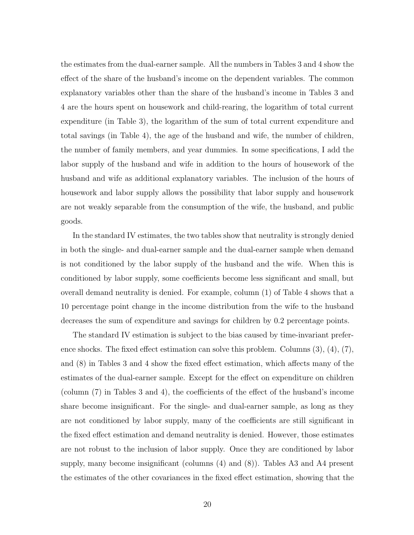the estimates from the dual-earner sample. All the numbers in Tables 3 and 4 show the effect of the share of the husband's income on the dependent variables. The common explanatory variables other than the share of the husband's income in Tables 3 and 4 are the hours spent on housework and child-rearing, the logarithm of total current expenditure (in Table 3), the logarithm of the sum of total current expenditure and total savings (in Table 4), the age of the husband and wife, the number of children, the number of family members, and year dummies. In some specifications, I add the labor supply of the husband and wife in addition to the hours of housework of the husband and wife as additional explanatory variables. The inclusion of the hours of housework and labor supply allows the possibility that labor supply and housework are not weakly separable from the consumption of the wife, the husband, and public goods.

In the standard IV estimates, the two tables show that neutrality is strongly denied in both the single- and dual-earner sample and the dual-earner sample when demand is not conditioned by the labor supply of the husband and the wife. When this is conditioned by labor supply, some coefficients become less significant and small, but overall demand neutrality is denied. For example, column (1) of Table 4 shows that a 10 percentage point change in the income distribution from the wife to the husband decreases the sum of expenditure and savings for children by 0.2 percentage points.

The standard IV estimation is subject to the bias caused by time-invariant preference shocks. The fixed effect estimation can solve this problem. Columns  $(3)$ ,  $(4)$ ,  $(7)$ , and (8) in Tables 3 and 4 show the fixed effect estimation, which affects many of the estimates of the dual-earner sample. Except for the effect on expenditure on children (column (7) in Tables 3 and 4), the coefficients of the effect of the husband's income share become insignificant. For the single- and dual-earner sample, as long as they are not conditioned by labor supply, many of the coefficients are still significant in the fixed effect estimation and demand neutrality is denied. However, those estimates are not robust to the inclusion of labor supply. Once they are conditioned by labor supply, many become insignificant (columns (4) and (8)). Tables A3 and A4 present the estimates of the other covariances in the fixed effect estimation, showing that the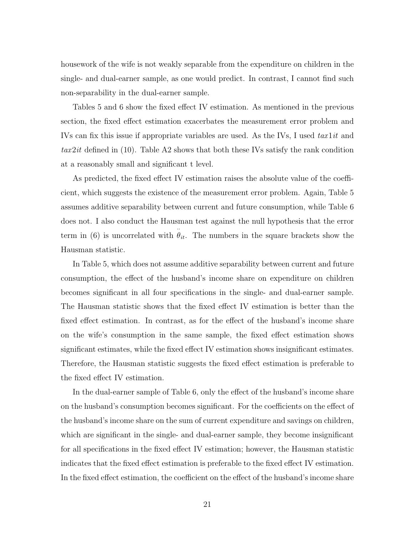housework of the wife is not weakly separable from the expenditure on children in the single- and dual-earner sample, as one would predict. In contrast, I cannot find such non-separability in the dual-earner sample.

Tables 5 and 6 show the fixed effect IV estimation. As mentioned in the previous section, the fixed effect estimation exacerbates the measurement error problem and IVs can fix this issue if appropriate variables are used. As the IVs, I used  $tax1it$  and  $tax2it$  defined in (10). Table A2 shows that both these IVs satisfy the rank condition at a reasonably small and significant t level.

As predicted, the fixed effect IV estimation raises the absolute value of the coefficient, which suggests the existence of the measurement error problem. Again, Table 5 assumes additive separability between current and future consumption, while Table 6 does not. I also conduct the Hausman test against the null hypothesis that the error term in (6) is uncorrelated with  $\ddot{\theta}_{it}$ . The numbers in the square brackets show the Hausman statistic.

In Table 5, which does not assume additive separability between current and future consumption, the effect of the husband's income share on expenditure on children becomes significant in all four specifications in the single- and dual-earner sample. The Hausman statistic shows that the fixed effect IV estimation is better than the fixed effect estimation. In contrast, as for the effect of the husband's income share on the wife's consumption in the same sample, the fixed effect estimation shows significant estimates, while the fixed effect IV estimation shows insignificant estimates. Therefore, the Hausman statistic suggests the fixed effect estimation is preferable to the fixed effect IV estimation.

In the dual-earner sample of Table 6, only the effect of the husband's income share on the husband's consumption becomes significant. For the coefficients on the effect of the husband's income share on the sum of current expenditure and savings on children, which are significant in the single- and dual-earner sample, they become insignificant for all specifications in the fixed effect IV estimation; however, the Hausman statistic indicates that the fixed effect estimation is preferable to the fixed effect IV estimation. In the fixed effect estimation, the coefficient on the effect of the husband's income share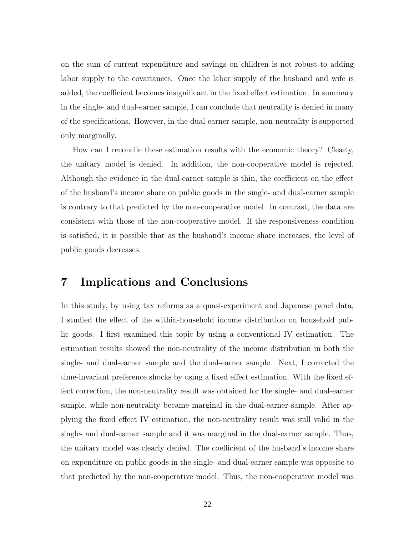on the sum of current expenditure and savings on children is not robust to adding labor supply to the covariances. Once the labor supply of the husband and wife is added, the coefficient becomes insignificant in the fixed effect estimation. In summary in the single- and dual-earner sample, I can conclude that neutrality is denied in many of the specifications. However, in the dual-earner sample, non-neutrality is supported only marginally.

How can I reconcile these estimation results with the economic theory? Clearly, the unitary model is denied. In addition, the non-cooperative model is rejected. Although the evidence in the dual-earner sample is thin, the coefficient on the effect of the husband's income share on public goods in the single- and dual-earner sample is contrary to that predicted by the non-cooperative model. In contrast, the data are consistent with those of the non-cooperative model. If the responsiveness condition is satisfied, it is possible that as the husband's income share increases, the level of public goods decreases.

## 7 Implications and Conclusions

In this study, by using tax reforms as a quasi-experiment and Japanese panel data, I studied the effect of the within-household income distribution on household public goods. I first examined this topic by using a conventional IV estimation. The estimation results showed the non-neutrality of the income distribution in both the single- and dual-earner sample and the dual-earner sample. Next, I corrected the time-invariant preference shocks by using a fixed effect estimation. With the fixed effect correction, the non-neutrality result was obtained for the single- and dual-earner sample, while non-neutrality became marginal in the dual-earner sample. After applying the fixed effect IV estimation, the non-neutrality result was still valid in the single- and dual-earner sample and it was marginal in the dual-earner sample. Thus, the unitary model was clearly denied. The coefficient of the husband's income share on expenditure on public goods in the single- and dual-earner sample was opposite to that predicted by the non-cooperative model. Thus, the non-cooperative model was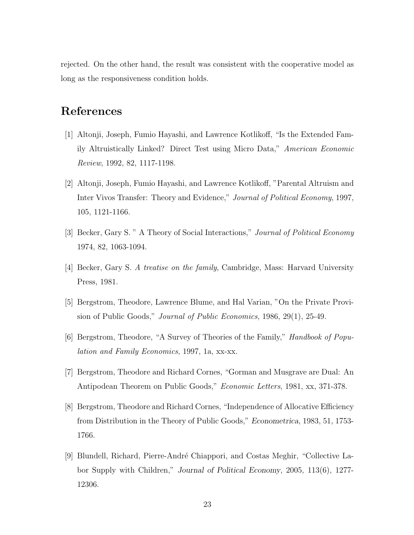rejected. On the other hand, the result was consistent with the cooperative model as long as the responsiveness condition holds.

## References

- [1] Altonji, Joseph, Fumio Hayashi, and Lawrence Kotlikoff, "Is the Extended Family Altruistically Linked? Direct Test using Micro Data," American Economic Review, 1992, 82, 1117-1198.
- [2] Altonji, Joseph, Fumio Hayashi, and Lawrence Kotlikoff, "Parental Altruism and Inter Vivos Transfer: Theory and Evidence," Journal of Political Economy, 1997, 105, 1121-1166.
- [3] Becker, Gary S. " A Theory of Social Interactions," Journal of Political Economy 1974, 82, 1063-1094.
- [4] Becker, Gary S. A treatise on the family, Cambridge, Mass: Harvard University Press, 1981.
- [5] Bergstrom, Theodore, Lawrence Blume, and Hal Varian, "On the Private Provision of Public Goods," Journal of Public Economics, 1986, 29(1), 25-49.
- [6] Bergstrom, Theodore, "A Survey of Theories of the Family," Handbook of Population and Family Economics, 1997, 1a, xx-xx.
- [7] Bergstrom, Theodore and Richard Cornes, "Gorman and Musgrave are Dual: An Antipodean Theorem on Public Goods," Economic Letters, 1981, xx, 371-378.
- [8] Bergstrom, Theodore and Richard Cornes, "Independence of Allocative Efficiency from Distribution in the Theory of Public Goods," Econometrica, 1983, 51, 1753- 1766.
- [9] Blundell, Richard, Pierre-Andr´e Chiappori, and Costas Meghir, "Collective Labor Supply with Children," Journal of Political Economy, 2005, 113(6), 1277- 12306.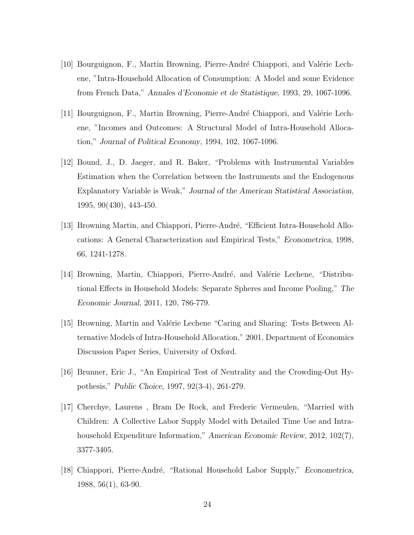- [10] Bourguignon, F., Martin Browning, Pierre-André Chiappori, and Valérie Lechene, "Intra-Household Allocation of Consumption: A Model and some Evidence from French Data," Annales d'Economie et de Statistique, 1993, 29, 1067-1096.
- [11] Bourguignon, F., Martin Browning, Pierre-André Chiappori, and Valérie Lechene, "Incomes and Outcomes: A Structural Model of Intra-Household Allocation," Journal of Political Economy, 1994, 102, 1067-1096.
- [12] Bound, J., D. Jaeger, and R. Baker, "Problems with Instrumental Variables Estimation when the Correlation between the Instruments and the Endogenous Explanatory Variable is Weak," Journal of the American Statistical Association, 1995, 90(430), 443-450.
- [13] Browning Martin, and Chiappori, Pierre-André, "Efficient Intra-Household Allocations: A General Characterization and Empirical Tests," Econometrica, 1998, 66, 1241-1278.
- [14] Browning, Martin, Chiappori, Pierre-André, and Valérie Lechene, "Distributional Effects in Household Models: Separate Spheres and Income Pooling," The Economic Journal, 2011, 120, 786-779.
- [15] Browning, Martin and Valérie Lechene "Caring and Sharing: Tests Between Alternative Models of Intra-Household Allocation," 2001, Department of Economics Discussion Paper Series, University of Oxford.
- [16] Brunner, Eric J., "An Empirical Test of Neutrality and the Crowding-Out Hypothesis," Public Choice, 1997, 92(3-4), 261-279.
- [17] Cherchye, Laurens , Bram De Rock, and Frederic Vermeulen, "Married with Children: A Collective Labor Supply Model with Detailed Time Use and Intrahousehold Expenditure Information," American Economic Review, 2012, 102(7), 3377-3405.
- [18] Chiappori, Pierre-André, "Rational Household Labor Supply," *Econometrica*, 1988, 56(1), 63-90.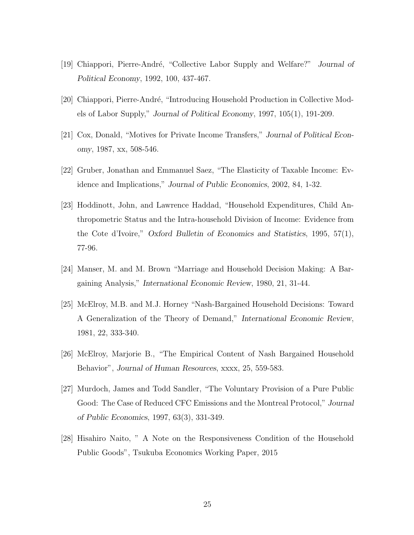- [19] Chiappori, Pierre-André, "Collective Labor Supply and Welfare?" Journal of Political Economy, 1992, 100, 437-467.
- [20] Chiappori, Pierre-André, "Introducing Household Production in Collective Models of Labor Supply," Journal of Political Economy, 1997, 105(1), 191-209.
- [21] Cox, Donald, "Motives for Private Income Transfers," Journal of Political Economy, 1987, xx, 508-546.
- [22] Gruber, Jonathan and Emmanuel Saez, "The Elasticity of Taxable Income: Evidence and Implications," Journal of Public Economics, 2002, 84, 1-32.
- [23] Hoddinott, John, and Lawrence Haddad, "Household Expenditures, Child Anthropometric Status and the Intra-household Division of Income: Evidence from the Cote d'Ivoire," Oxford Bulletin of Economics and Statistics, 1995, 57(1), 77-96.
- [24] Manser, M. and M. Brown "Marriage and Household Decision Making: A Bargaining Analysis," International Economic Review, 1980, 21, 31-44.
- [25] McElroy, M.B. and M.J. Horney "Nash-Bargained Household Decisions: Toward A Generalization of the Theory of Demand," International Economic Review, 1981, 22, 333-340.
- [26] McElroy, Marjorie B., "The Empirical Content of Nash Bargained Household Behavior", Journal of Human Resources, xxxx, 25, 559-583.
- [27] Murdoch, James and Todd Sandler, "The Voluntary Provision of a Pure Public Good: The Case of Reduced CFC Emissions and the Montreal Protocol," Journal of Public Economics, 1997, 63(3), 331-349.
- [28] Hisahiro Naito, " A Note on the Responsiveness Condition of the Household Public Goods", Tsukuba Economics Working Paper, 2015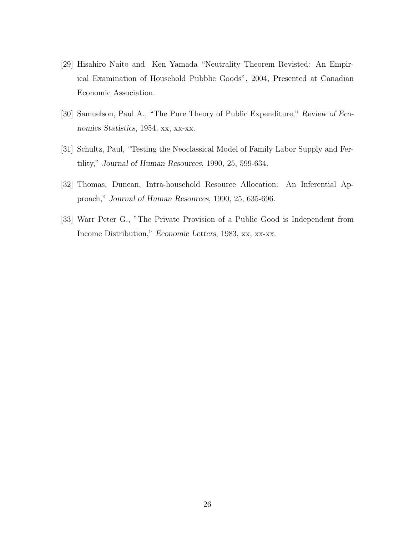- [29] Hisahiro Naito and Ken Yamada "Neutrality Theorem Revisted: An Empirical Examination of Household Pubblic Goods", 2004, Presented at Canadian Economic Association.
- [30] Samuelson, Paul A., "The Pure Theory of Public Expenditure," Review of Economics Statistics, 1954, xx, xx-xx.
- [31] Schultz, Paul, "Testing the Neoclassical Model of Family Labor Supply and Fertility," Journal of Human Resources, 1990, 25, 599-634.
- [32] Thomas, Duncan, Intra-household Resource Allocation: An Inferential Approach," Journal of Human Resources, 1990, 25, 635-696.
- [33] Warr Peter G., "The Private Provision of a Public Good is Independent from Income Distribution," Economic Letters, 1983, xx, xx-xx.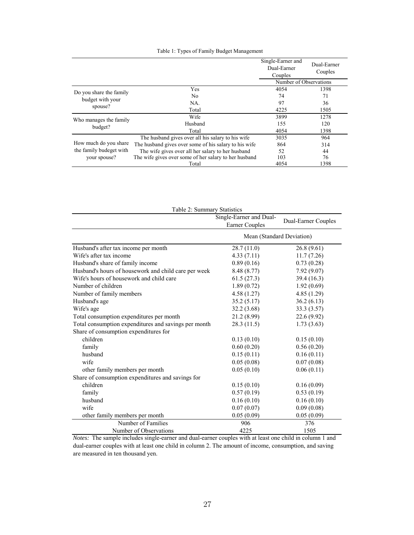|  |  | Table 1: Types of Family Budget Management |
|--|--|--------------------------------------------|
|  |  |                                            |

|                         |                                                       | Single-Earner and<br>Dual-Earner<br>Couples | Dual-Earner<br>Couples |
|-------------------------|-------------------------------------------------------|---------------------------------------------|------------------------|
|                         |                                                       | Number of Observations                      |                        |
| Do you share the family | Yes                                                   | 4054                                        | 1398                   |
| budget with your        | N <sub>0</sub>                                        | 74                                          | 71                     |
|                         | NA.                                                   | 97                                          | 36                     |
| spouse?                 | Total                                                 | 4225                                        | 1505                   |
| Who manages the family  | Wife                                                  | 3899                                        | 1278                   |
| budget?                 | Husband                                               | 155                                         | 120                    |
|                         | Total                                                 | 4054                                        | 1398                   |
|                         | The husband gives over all his salary to his wife     | 3035                                        | 964                    |
| How much do you share   | The husband gives over some of his salary to his wife | 864                                         | 314                    |
| the family budeget with | The wife gives over all her salary to her husband     | 52                                          | 44                     |
| your spouse?            | The wife gives over some of her salary to her husband | 103                                         | 76                     |
|                         | Total                                                 | 4054                                        | 1398                   |

| Table 2: Summary Statistics                          |                                                  |                     |  |  |  |  |  |  |
|------------------------------------------------------|--------------------------------------------------|---------------------|--|--|--|--|--|--|
|                                                      | Single-Earner and Dual-<br><b>Earner Couples</b> | Dual-Earner Couples |  |  |  |  |  |  |
|                                                      | Mean (Standard Deviation)                        |                     |  |  |  |  |  |  |
| Husband's after tax income per month                 | 28.7(11.0)                                       | 26.8(9.61)          |  |  |  |  |  |  |
| Wife's after tax income                              | 4.33(7.11)                                       | 11.7(7.26)          |  |  |  |  |  |  |
| Husband's share of family income                     | 0.89(0.16)                                       | 0.73(0.28)          |  |  |  |  |  |  |
| Husband's hours of housework and child care per week | 8.48 (8.77)                                      | 7.92(9.07)          |  |  |  |  |  |  |
| Wife's hours of housework and child care             | 61.5(27.3)                                       | 39.4 (16.3)         |  |  |  |  |  |  |
| Number of children                                   | 1.89(0.72)                                       | 1.92(0.69)          |  |  |  |  |  |  |
| Number of family members                             | 4.58(1.27)                                       | 4.85(1.29)          |  |  |  |  |  |  |
| Husband's age                                        | 35.2(5.17)                                       | 36.2(6.13)          |  |  |  |  |  |  |
| Wife's age                                           | 32.2 (3.68)                                      | 33.3 (3.57)         |  |  |  |  |  |  |
| Total consumption expenditures per month             | 21.2 (8.99)                                      | 22.6 (9.92)         |  |  |  |  |  |  |
| Total consumption expenditures and savings per month | 28.3(11.5)                                       | 1.73(3.63)          |  |  |  |  |  |  |
| Share of consumption expenditures for                |                                                  |                     |  |  |  |  |  |  |
| children                                             | 0.13(0.10)                                       | 0.15(0.10)          |  |  |  |  |  |  |
| family                                               | 0.60(0.20)                                       | 0.56(0.20)          |  |  |  |  |  |  |
| husband                                              | 0.15(0.11)                                       | 0.16(0.11)          |  |  |  |  |  |  |
| wife                                                 | 0.05(0.08)                                       | 0.07(0.08)          |  |  |  |  |  |  |
| other family members per month                       | 0.05(0.10)                                       | 0.06(0.11)          |  |  |  |  |  |  |
| Share of consumption expenditures and savings for    |                                                  |                     |  |  |  |  |  |  |
| children                                             | 0.15(0.10)                                       | 0.16(0.09)          |  |  |  |  |  |  |
| family                                               | 0.57(0.19)                                       | 0.53(0.19)          |  |  |  |  |  |  |
| husband                                              | 0.16(0.10)                                       | 0.16(0.10)          |  |  |  |  |  |  |
| wife                                                 | 0.07(0.07)                                       | 0.09(0.08)          |  |  |  |  |  |  |
| other family members per month                       | 0.05(0.09)                                       | 0.05(0.09)          |  |  |  |  |  |  |
| Number of Families                                   | 906                                              | 376                 |  |  |  |  |  |  |
| Number of Observations                               | 4225                                             | 1505                |  |  |  |  |  |  |

*Notes:* The sample includes single-earner and dual-earner couples with at least one child in column 1 and dual-earner couples with at least one child in column 2. The amount of income, consumption, and saving are measured in ten thousand yen.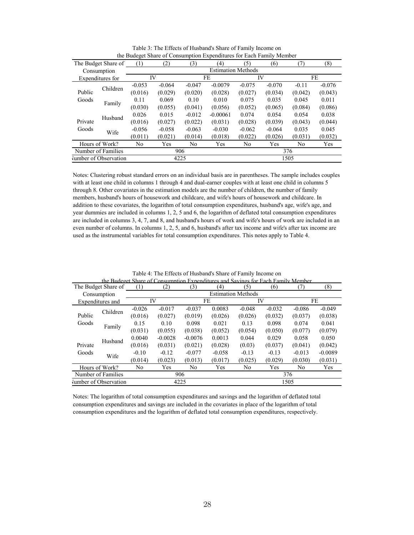|                    |                       | ັ        |          |          |                           |          | ╯        |                |          |
|--------------------|-----------------------|----------|----------|----------|---------------------------|----------|----------|----------------|----------|
|                    | The Budget Share of   | (1)      | (2)      | (3)      | $\left( 4\right)$         | (5)      | (6)      | (7)            | (8)      |
|                    | Consumption           |          |          |          | <b>Estimation Methods</b> |          |          |                |          |
|                    | Expenditures for      |          | IV       |          | FE                        |          | IV       |                | FE       |
|                    | Children              | $-0.053$ | $-0.064$ | $-0.047$ | $-0.0079$                 | $-0.075$ | $-0.070$ | $-0.11$        | $-0.076$ |
| Public             |                       | (0.016)  | (0.029)  | (0.020)  | (0.028)                   | (0.027)  | (0.034)  | (0.042)        | (0.043)  |
| Goods              | Family                | 0.11     | 0.069    | 0.10     | 0.010                     | 0.075    | 0.035    | 0.045          | 0.011    |
|                    |                       | (0.030)  | (0.055)  | (0.041)  | (0.056)                   | (0.052)  | (0.065)  | (0.084)        | (0.086)  |
|                    | Husband               | 0.026    | 0.015    | $-0.012$ | $-0.00061$                | 0.074    | 0.054    | 0.054          | 0.038    |
| Private            |                       | (0.016)  | (0.027)  | (0.022)  | (0.031)                   | (0.028)  | (0.039)  | (0.043)        | (0.044)  |
| Goods              | Wife                  | $-0.056$ | $-0.058$ | $-0.063$ | $-0.030$                  | $-0.062$ | $-0.064$ | 0.035          | 0.045    |
|                    |                       | (0.011)  | (0.021)  | (0.014)  | (0.018)                   | (0.022)  | (0.026)  | (0.031)        | (0.032)  |
| Hours of Work?     |                       | No       | Yes      | No       | Yes                       | No       | Yes      | N <sub>0</sub> | Yes      |
| Number of Families |                       | 906      |          |          |                           | 376      |          |                |          |
|                    | Jumber of Observation |          |          | 4225     |                           | 1505     |          |                |          |

Table 3: The Effects of Husband's Share of Family Income on the Budeget Share of Consumption Expenditures for Each Family Member

Notes: Clustering robust standard errors on an individual basis are in parentheses. The sample includes couples with at least one child in columns 1 through 4 and dual-earner couples with at least one child in columns 5 through 8. Other covariates in the estimation models are the number of children, the number of family members, husband's hours of housework and childcare, and wife's hours of housework and childcare. In addition to these covariates, the logarithm of total consumption expenditures, husband's age, wife's age, and year dummies are included in columns 1, 2, 5 and 6, the logarithm of deflated total consumption expenditures are included in columns 3, 4, 7, and 8, and husband's hours of work and wife's hours of work are included in an even number of columns. In columns 1, 2, 5, and 6, husband's after tax income and wife's after tax income are used as the instrumental variables for total consumption expenditures. This notes apply to Table 4.

|                | The Budget Share of   | (1)      | (2)                       | (3)       | $\left( 4\right)$ | THE TRIBLE SET CHINE OF VARIATION IS A BEIDDIES AND CONTRACTIVES TO TRIBLE AND LARGE CONTRACTORE<br>(5) | (6)      | (7)            | (8)       |  |
|----------------|-----------------------|----------|---------------------------|-----------|-------------------|---------------------------------------------------------------------------------------------------------|----------|----------------|-----------|--|
|                | Consumption           |          | <b>Estimation Methods</b> |           |                   |                                                                                                         |          |                |           |  |
|                | Expenditures and      | IV       |                           |           | FE                |                                                                                                         | IV       |                | FE        |  |
|                | Children              | $-0.026$ | $-0.017$                  | $-0.037$  | 0.0083            | $-0.048$                                                                                                | $-0.032$ | $-0.086$       | $-0.049$  |  |
| Public         |                       | (0.016)  | (0.027)                   | (0.019)   | (0.026)           | (0.026)                                                                                                 | (0.032)  | (0.037)        | (0.038)   |  |
| Goods          | Family                | 0.15     | 0.10                      | 0.098     | 0.021             | 0.13                                                                                                    | 0.098    | 0.074          | 0.041     |  |
|                |                       | (0.031)  | (0.055)                   | (0.038)   | (0.052)           | (0.054)                                                                                                 | (0.050)  | (0.077)        | (0.079)   |  |
|                | Husband               | 0.0040   | $-0.0028$                 | $-0.0076$ | 0.0013            | 0.044                                                                                                   | 0.029    | 0.058          | 0.050     |  |
| Private        |                       | (0.016)  | (0.031)                   | (0.021)   | (0.028)           | (0.03)                                                                                                  | (0.037)  | (0.041)        | (0.042)   |  |
| Goods          | Wife                  | $-0.10$  | $-0.12$                   | $-0.077$  | $-0.058$          | $-0.13$                                                                                                 | $-0.13$  | $-0.013$       | $-0.0089$ |  |
|                |                       | (0.014)  | (0.023)                   | (0.013)   | (0.017)           | (0.025)                                                                                                 | (0.029)  | (0.030)        | (0.031)   |  |
| Hours of Work? |                       | No       | Yes                       | No        | Yes               | N <sub>0</sub>                                                                                          | Yes      | N <sub>0</sub> | Yes       |  |
|                | Number of Families    | 906      |                           |           |                   | 376                                                                                                     |          |                |           |  |
|                | Jumber of Observation |          |                           | 4225      |                   |                                                                                                         | 1505     |                |           |  |

Table 4: The Effects of Husband's Share of Family Income on the Budeget Share of Consumption Expenditures and Savings for Each Family Member

Notes: The logarithm of total consumption expenditures and savings and the logarithm of deflated total consumption expenditures and savings are included in the covariates in place of the logarithm of total consumption expenditures and the logarithm of deflated total consumption expenditures, respectively.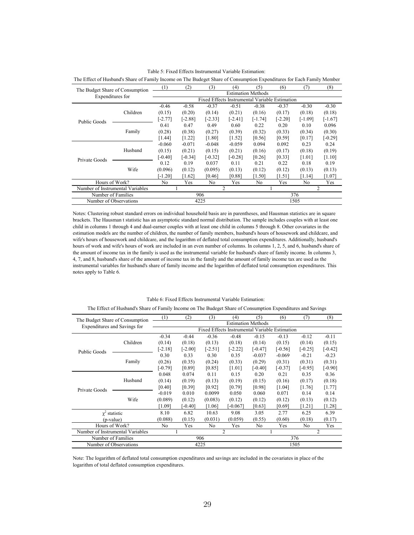|                                  | The Budget Share of Consumption |                           | (2)       | (3)                                            | (4)       | (5)       | (6)       | (7)       | (8)       |
|----------------------------------|---------------------------------|---------------------------|-----------|------------------------------------------------|-----------|-----------|-----------|-----------|-----------|
| Expenditures for                 |                                 | <b>Estimation Methods</b> |           |                                                |           |           |           |           |           |
|                                  |                                 |                           |           | Fixed Effects Instrumental Variable Estimation |           |           |           |           |           |
|                                  |                                 | $-0.46$                   | $-0.58$   | $-0.37$                                        | $-0.51$   | $-0.38$   | $-0.37$   | $-0.30$   | $-0.30$   |
|                                  | Children                        | (0.15)                    | (0.20)    | (0.14)                                         | (0.21)    | (0.16)    | (0.17)    | (0.18)    | (0.18)    |
| Public Goods                     |                                 | $[-2.77]$                 | [-2.88]   | $[-2.33]$                                      | $[-2.41]$ | $[-1.74]$ | $[-2.20]$ | $[-1.09]$ | $[-1.67]$ |
|                                  |                                 | 0.41                      | 0.47      | 0.49                                           | 0.60      | 0.22      | 0.20      | 0.10      | 0.096     |
|                                  | Family                          | (0.28)                    | (0.38)    | (0.27)                                         | (0.39)    | (0.32)    | (0.33)    | (0.34)    | (0.30)    |
|                                  |                                 | [1.44]                    | [1.22]    | [1.80]                                         | $[1.52]$  | [0.56]    | [0.59]    | [0.17]    | $[-0.29]$ |
|                                  |                                 | $-0.060$                  | $-0.071$  | $-0.048$                                       | $-0.059$  | 0.094     | 0.092     | 0.23      | 0.24      |
|                                  | Husband                         | (0.15)                    | (0.21)    | (0.15)                                         | (0.21)    | (0.16)    | (0.17)    | (0.18)    | (0.19)    |
| Private Goods                    |                                 | $[-0.40]$                 | $[-0.34]$ | $[-0.32]$                                      | $[-0.28]$ | [0.26]    | [0.33]    | [1.01]    | [1.10]    |
|                                  |                                 | 0.12                      | 0.19      | 0.037                                          | 0.11      | 0.21      | 0.22      | 0.18      | 0.19      |
|                                  | Wife                            | (0.096)                   | (0.12)    | (0.095)                                        | (0.13)    | (0.12)    | (0.12)    | (0.13)    | (0.13)    |
|                                  |                                 | $[-1.20]$                 | [1.62]    | [0.46]                                         | [0.88]    | [1.50]    | [1.51]    | [1.14]    | [1.07]    |
| Hours of Work?                   |                                 | No.                       | Yes       | N <sub>0</sub>                                 | Yes       | No        | Yes       | No.       | Yes       |
| Number of Instrumental Variables |                                 |                           |           |                                                | 2         | 2         |           |           |           |
| Number of Families               |                                 | 906                       |           |                                                | 376       |           |           |           |           |
| Number of Observations           |                                 |                           |           | 4225                                           |           |           |           | 1505      |           |

Table 5: Fixed Effects Instrumental Variable Estimation:

The Effect of Husband's Share of Family Income on The Budeget Share of Consumption Expenditures for Each Family Member

Notes: Clustering robust standard errors on individual household basis are in parentheses, and Hausman statistics are in square brackets. The Hausman t statistic has an asymptotic standard normal distribution. The sample includes couples with at least one child in columns 1 through 4 and dual-earner couples with at least one child in columns 5 through 8. Other covariates in the estimation models are the number of children, the number of family members, husband's hours of housework and childcare, and wife's hours of housework and childcare, and the logarithm of deflated total consumption expenditures. Additionally, husband's hours of work and wife's hours of work are included in an even number of columns. In columns 1, 2, 5, and 6, husband's share of the amount of income tax in the family is used as the instrumental variable for husband's share of family income. In columns 3, 4, 7, and 8, husband's share of the amount of income tax in the family and the amount of family income tax are used as the instrumental variables for husband's share of family income and the logarithm of deflated total consumption expenditures. This notes apply to Table 6.

| The Budget Share of Consumption  |          | (1)                       | (2)       | (3)       | (4)                                            | (5)       | (6)       | (7)       | (8)       |
|----------------------------------|----------|---------------------------|-----------|-----------|------------------------------------------------|-----------|-----------|-----------|-----------|
| Expenditures and Savings for     |          | <b>Estimation Methods</b> |           |           |                                                |           |           |           |           |
|                                  |          |                           |           |           | Fixed Effects Instrumental Variable Estimation |           |           |           |           |
|                                  |          | $-0.34$                   | $-0.44$   | $-0.36$   | $-0.48$                                        | $-0.15$   | $-0.13$   | $-0.12$   | $-0.11$   |
|                                  | Children | (0.14)                    | (0.18)    | (0.13)    | (0.18)                                         | (0.14)    | (0.15)    | (0.14)    | (0.15)    |
|                                  |          | $[-2.18]$                 | $[-2.00]$ | $[-2.51]$ | $[-2.22]$                                      | $[-0.47]$ | $[-0.56]$ | $[-0.25]$ | $[-0.42]$ |
| <b>Public Goods</b>              |          | 0.30                      | 0.33      | 0.30      | 0.35                                           | $-0.037$  | $-0.069$  | $-0.21$   | $-0.23$   |
|                                  | Family   | (0.26)                    | (0.35)    | (0.24)    | (0.33)                                         | (0.29)    | (0.31)    | (0.31)    | (0.31)    |
|                                  |          | $[-0.79]$                 | [0.89]    | [0.85]    | [1.01]                                         | $[-0.40]$ | $[-0.37]$ | $[-0.95]$ | $[-0.90]$ |
|                                  |          | 0.048                     | 0.074     | 0.11      | 0.15                                           | 0.20      | 0.21      | 0.35      | 0.36      |
|                                  | Husband  | (0.14)                    | (0.19)    | (0.13)    | (0.19)                                         | (0.15)    | (0.16)    | (0.17)    | (0.18)    |
|                                  |          | [0.40]                    | [0.39]    | [0.92]    | [0.79]                                         | [0.98]    | [1.04]    | [1.76]    | [1.77]    |
| Private Goods                    |          | $-0.019$                  | 0.010     | 0.0099    | 0.050                                          | 0.060     | 0.071     | 0.14      | 0.14      |
|                                  | Wife     | (0.089)                   | (0.12)    | (0.083)   | (0.12)                                         | (0.12)    | (0.12)    | (0.13)    | (0.12)    |
|                                  |          | [1.09]                    | $-0.40$ ] | [1.06]    | $-0.067$                                       | [0.63]    | [0.69]    | [1.21]    | $[1.28]$  |
| $\gamma^2$ statistic             |          | 8.10                      | 6.82      | 10.63     | 9.08                                           | 3.05      | 2.77      | 6.25      | 6.39      |
| (p-value)                        |          | (0.088)                   | (0.15)    | (0.031)   | (0.059)                                        | (0.55)    | (0.60)    | (0.18)    | (0.17)    |
| Hours of Work?                   |          | No                        | Yes       | No        | Yes                                            | No        | Yes       | No        | Yes       |
| Number of Instrumental Variables |          |                           |           |           | 2                                              | 2         |           |           |           |
| Number of Families               |          | 906                       |           |           |                                                | 376       |           |           |           |
| Number of Observations           |          |                           |           | 4225      |                                                | 1505      |           |           |           |

#### Table 6: Fixed Effects Instrumental Variable Estimation:

The Effect of Husband's Share of Family Income on The Budeget Share of Consumption Expenditures and Savings

Note: The logarithm of deflated total consumption expenditures and savings are included in the covariates in place of the logarithm of total deflated consumption expenditures.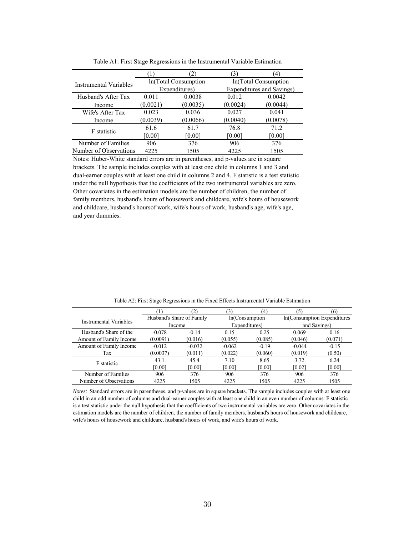|                        |          |                       | $\mathcal{E}$             | $\left(4\right)$ |  |  |
|------------------------|----------|-----------------------|---------------------------|------------------|--|--|
| Instrumental Variables |          | In (Total Consumption | In (Total Consumption     |                  |  |  |
|                        |          | Expenditures)         | Expenditures and Savings) |                  |  |  |
| Husband's After Tax    | 0.011    | 0.0038                | 0.012                     | 0.0042           |  |  |
| Income                 | (0.0021) | (0.0035)              | (0.0024)                  | (0.0044)         |  |  |
| Wife's After Tax       | 0.023    | 0.036                 | 0.027                     | 0.041            |  |  |
| Income                 | (0.0039) | (0.0066)              | (0.0040)                  | (0.0078)         |  |  |
| F statistic            | 61.6     | 61.7                  | 76.8                      | 71.2             |  |  |
|                        | [0.00]   | [0.00]                | [0.00]                    | [0.00]           |  |  |
| Number of Families     | 906      | 376                   | 906                       | 376              |  |  |
| Number of Observations | 4225     | 1505                  | 4225                      | 1505             |  |  |

Table A1: First Stage Regressions in the Instrumental Variable Estimation

Notes: Huber-White standard errors are in parentheses, and p-values are in square brackets. The sample includes couples with at least one child in columns 1 and 3 and dual-earner couples with at least one child in columns 2 and 4. F statistic is a test statistic under the null hypothesis that the coefficients of the two instrumental variables are zero. Other covariates in the estimation models are the number of children, the number of family members, husband's hours of housework and childcare, wife's hours of housework and childcare, husband's hoursof work, wife's hours of work, husband's age, wife's age, and year dummies.

|                         |                           | $\mathbf 2$ | 3)       | (4)            | (5)      | (6)                         |  |
|-------------------------|---------------------------|-------------|----------|----------------|----------|-----------------------------|--|
| Instrumental Variables  | Husband's Share of Family |             |          | In(Consumption |          | In(Consumption Expenditures |  |
|                         |                           | Income      |          | Expenditures)  |          | and Savings)                |  |
| Husband's Share of the  | $-0.078$                  | $-0.14$     | 0.15     | 0.25           | 0.069    | 0.16                        |  |
| Amount of Family Income | (0.0091)                  | (0.016)     | (0.055)  | (0.085)        | (0.046)  | (0.071)                     |  |
| Amount of Family Income | $-0.012$                  | $-0.032$    | $-0.062$ | $-0.19$        | $-0.044$ | $-0.15$                     |  |
| Tax                     | (0.0037)                  | (0.011)     | (0.022)  | (0.060)        | (0.019)  | (0.50)                      |  |
| F statistic             | 43.1                      | 45.4        | 7.10     | 8.65           | 3.72     | 6.24                        |  |
|                         | [0.00]                    | [0.00]      | [0.00]   | [0.00]         | [0.02]   | [0.00]                      |  |
| Number of Families      | 906                       | 376         | 906      | 376            | 906      | 376                         |  |
| Number of Observations  | 4225                      | 1505        | 4225     | 1505           | 4225     | 1505                        |  |

Table A2: First Stage Regressions in the Fixed Effects Instrumental Variable Estimation

*Notes:* Standard errors are in parentheses, and p-values are in square brackets. The sample includes couples with at least one child in an odd number of columns and dual-earner couples with at least one child in an even number of columns. F statistic is a test statistic under the null hypothesis that the coefficients of two instrumental variables are zero. Other covariates in the estimation models are the number of children, the number of family members, husband's hours of housework and childcare, wife's hours of housework and childcare, husband's hours of work, and wife's hours of work.